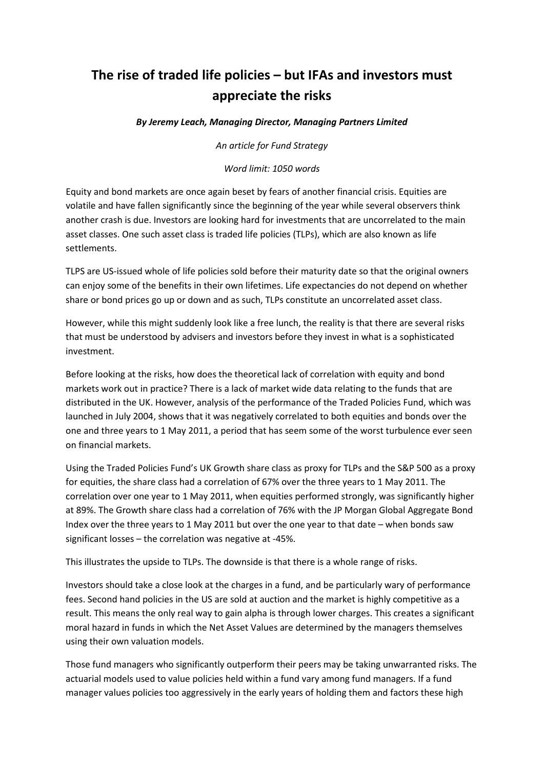## **The rise of traded life policies – but IFAs and investors must appreciate the risks**

*By Jeremy Leach, Managing Director, Managing Partners Limited*

*An article for Fund Strategy*

*Word limit: 1050 words*

Equity and bond markets are once again beset by fears of another financial crisis. Equities are volatile and have fallen significantly since the beginning of the year while several observers think another crash is due. Investors are looking hard for investments that are uncorrelated to the main asset classes. One such asset class is traded life policies (TLPs), which are also known as life settlements.

TLPS are US-issued whole of life policies sold before their maturity date so that the original owners can enjoy some of the benefits in their own lifetimes. Life expectancies do not depend on whether share or bond prices go up or down and as such, TLPs constitute an uncorrelated asset class.

However, while this might suddenly look like a free lunch, the reality is that there are several risks that must be understood by advisers and investors before they invest in what is a sophisticated investment.

Before looking at the risks, how does the theoretical lack of correlation with equity and bond markets work out in practice? There is a lack of market wide data relating to the funds that are distributed in the UK. However, analysis of the performance of the Traded Policies Fund, which was launched in July 2004, shows that it was negatively correlated to both equities and bonds over the one and three years to 1 May 2011, a period that has seem some of the worst turbulence ever seen on financial markets.

Using the Traded Policies Fund's UK Growth share class as proxy for TLPs and the S&P 500 as a proxy for equities, the share class had a correlation of 67% over the three years to 1 May 2011. The correlation over one year to 1 May 2011, when equities performed strongly, was significantly higher at 89%. The Growth share class had a correlation of 76% with the JP Morgan Global Aggregate Bond Index over the three years to 1 May 2011 but over the one year to that date – when bonds saw significant losses – the correlation was negative at -45%.

This illustrates the upside to TLPs. The downside is that there is a whole range of risks.

Investors should take a close look at the charges in a fund, and be particularly wary of performance fees. Second hand policies in the US are sold at auction and the market is highly competitive as a result. This means the only real way to gain alpha is through lower charges. This creates a significant moral hazard in funds in which the Net Asset Values are determined by the managers themselves using their own valuation models.

Those fund managers who significantly outperform their peers may be taking unwarranted risks. The actuarial models used to value policies held within a fund vary among fund managers. If a fund manager values policies too aggressively in the early years of holding them and factors these high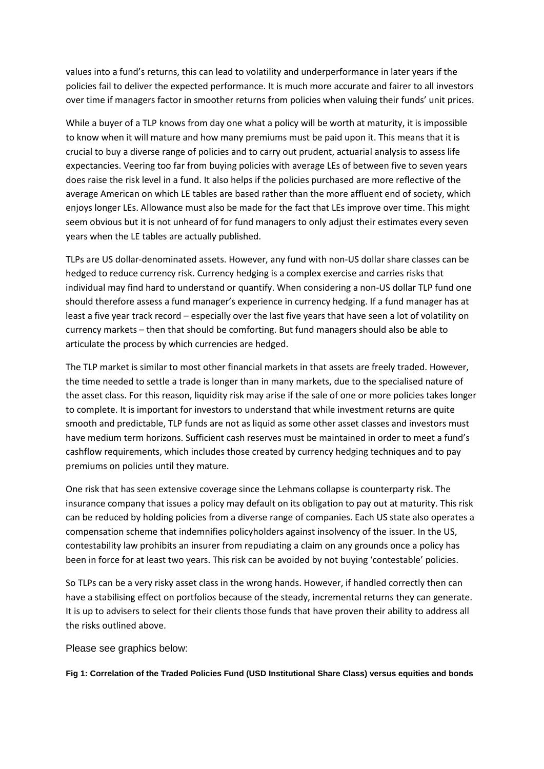values into a fund's returns, this can lead to volatility and underperformance in later years if the policies fail to deliver the expected performance. It is much more accurate and fairer to all investors over time if managers factor in smoother returns from policies when valuing their funds' unit prices.

While a buyer of a TLP knows from day one what a policy will be worth at maturity, it is impossible to know when it will mature and how many premiums must be paid upon it. This means that it is crucial to buy a diverse range of policies and to carry out prudent, actuarial analysis to assess life expectancies. Veering too far from buying policies with average LEs of between five to seven years does raise the risk level in a fund. It also helps if the policies purchased are more reflective of the average American on which LE tables are based rather than the more affluent end of society, which enjoys longer LEs. Allowance must also be made for the fact that LEs improve over time. This might seem obvious but it is not unheard of for fund managers to only adjust their estimates every seven years when the LE tables are actually published.

TLPs are US dollar-denominated assets. However, any fund with non-US dollar share classes can be hedged to reduce currency risk. Currency hedging is a complex exercise and carries risks that individual may find hard to understand or quantify. When considering a non-US dollar TLP fund one should therefore assess a fund manager's experience in currency hedging. If a fund manager has at least a five year track record – especially over the last five years that have seen a lot of volatility on currency markets – then that should be comforting. But fund managers should also be able to articulate the process by which currencies are hedged.

The TLP market is similar to most other financial markets in that assets are freely traded. However, the time needed to settle a trade is longer than in many markets, due to the specialised nature of the asset class. For this reason, liquidity risk may arise if the sale of one or more policies takes longer to complete. It is important for investors to understand that while investment returns are quite smooth and predictable, TLP funds are not as liquid as some other asset classes and investors must have medium term horizons. Sufficient cash reserves must be maintained in order to meet a fund's cashflow requirements, which includes those created by currency hedging techniques and to pay premiums on policies until they mature.

One risk that has seen extensive coverage since the Lehmans collapse is counterparty risk. The insurance company that issues a policy may default on its obligation to pay out at maturity. This risk can be reduced by holding policies from a diverse range of companies. Each US state also operates a compensation scheme that indemnifies policyholders against insolvency of the issuer. In the US, contestability law prohibits an insurer from repudiating a claim on any grounds once a policy has been in force for at least two years. This risk can be avoided by not buying 'contestable' policies.

So TLPs can be a very risky asset class in the wrong hands. However, if handled correctly then can have a stabilising effect on portfolios because of the steady, incremental returns they can generate. It is up to advisers to select for their clients those funds that have proven their ability to address all the risks outlined above.

Please see graphics below:

**Fig 1: Correlation of the Traded Policies Fund (USD Institutional Share Class) versus equities and bonds**